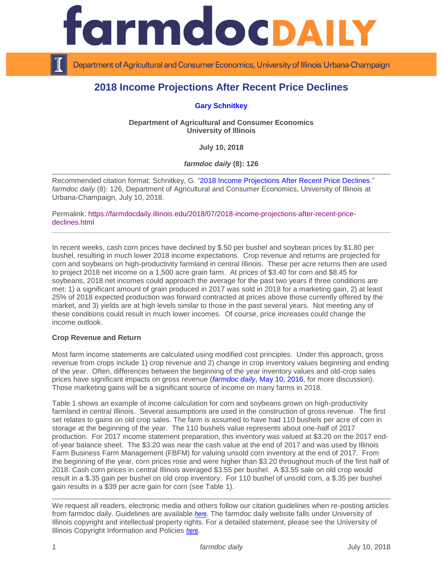

Department of Agricultural and Consumer Economics, University of Illinois Urbana-Champaign

# **2018 Income Projections After Recent Price Declines**

## **[Gary Schnitkey](http://farmdoc.illinois.edu/schnitkey)**

**Department of Agricultural and Consumer Economics University of Illinois**

**July 10, 2018**

*farmdoc daily* **(8): 126**

Recommended citation format: Schnitkey, G. ["2018 Income Projections After Recent Price Declines.](https://farmdocdaily.illinois.edu/2018/07/2018-income-projections-after-recent-price-declines.html)" *farmdoc daily* (8): 126, Department of Agricultural and Consumer Economics, University of Illinois at Urbana-Champaign, July 10, 2018.

Permalink: [https://farmdocdaily.illinois.edu/2018/07/2018-income-projections-after-recent-price](https://farmdocdaily.illinois.edu/2018/07/2018-income-projections-after-recent-price-declines.html)[declines.html](https://farmdocdaily.illinois.edu/2018/07/2018-income-projections-after-recent-price-declines.html)

In recent weeks, cash corn prices have declined by \$.50 per bushel and soybean prices by \$1.80 per bushel, resulting in much lower 2018 income expectations. Crop revenue and returns are projected for corn and soybeans on high-productivity farmland in central Illinois. These per acre returns then are used to project 2018 net income on a 1,500 acre grain farm. At prices of \$3.40 for corn and \$8.45 for soybeans, 2018 net incomes could approach the average for the past two years if three conditions are met: 1) a significant amount of grain produced in 2017 was sold in 2018 for a marketing gain, 2) at least 25% of 2018 expected production was forward contracted at prices above those currently offered by the market, and 3) yields are at high levels similar to those in the past several years. Not meeting any of these conditions could result in much lower incomes. Of course, price increases could change the income outlook.

#### **Crop Revenue and Return**

Most farm income statements are calculated using modified cost principles. Under this approach, gross revenue from crops include 1) crop revenue and 2) change in crop inventory values beginning and ending of the year. Often, differences between the beginning of the year inventory values and old-crop sales prices have significant impacts on gross revenue (*farmdoc daily*[, May 10, 2016,](https://farmdocdaily.illinois.edu/2016/05/2016-marketing-gain-impacts-income-statement.html) for more discussion). Those marketing gains will be a significant source of income on many farms in 2018.

Table 1 shows an example of income calculation for corn and soybeans grown on high-productivity farmland in central Illinois. Several assumptions are used in the construction of gross revenue. The first set relates to gains on old crop sales. The farm is assumed to have had 110 bushels per acre of corn in storage at the beginning of the year. The 110 bushels value represents about one-half of 2017 production. For 2017 income statement preparation, this inventory was valued at \$3.20 on the 2017 endof-year balance sheet. The \$3.20 was near the cash value at the end of 2017 and was used by Illinois Farm Business Farm Management (FBFM) for valuing unsold corn inventory at the end of 2017. From the beginning of the year, corn prices rose and were higher than \$3.20 throughout much of the first half of 2018. Cash corn prices in central Illinois averaged \$3.55 per bushel. A \$3.55 sale on old crop would result in a \$.35 gain per bushel on old crop inventory. For 110 bushel of unsold corn, a \$.35 per bushel gain results in a \$39 per acre gain for corn (see Table 1).

We request all readers, electronic media and others follow our citation guidelines when re-posting articles from farmdoc daily. Guidelines are available *[here](http://farmdocdaily.illinois.edu/citationguide.html)*. The farmdoc daily website falls under University of Illinois copyright and intellectual property rights. For a detailed statement, please see the University of Illinois Copyright Information and Policies *[here](http://www.cio.illinois.edu/policies/copyright/)*.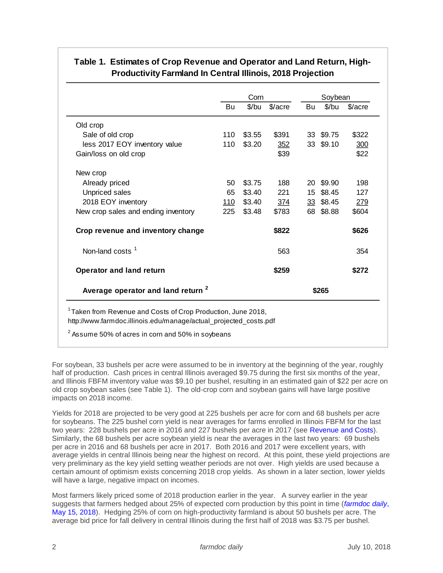|                                               |             | Corn<br>Soybean |         |    |           |         |
|-----------------------------------------------|-------------|-----------------|---------|----|-----------|---------|
|                                               | Bu          | \$/bu           | \$/acre | Bu | $$$ /bu   | \$/acre |
| Old crop                                      |             |                 |         |    |           |         |
| Sale of old crop                              | 110         | \$3.55          | \$391   |    | 33 \$9.75 | \$322   |
| less 2017 EOY inventory value                 | 110         | \$3.20          | 352     |    | 33 \$9.10 | 300     |
| Gain/loss on old crop                         |             |                 | \$39    |    |           | \$22    |
| New crop                                      |             |                 |         |    |           |         |
| Already priced                                | 50          | \$3.75          | 188     |    | 20 \$9.90 | 198     |
| <b>Unpriced sales</b>                         | 65          | \$3.40          | 221     |    | 15 \$8.45 | 127     |
| 2018 EOY inventory                            | <u> 110</u> | \$3.40          | 374     |    | 33 \$8.45 | 279     |
| New crop sales and ending inventory           | 225         | \$3.48          | \$783   |    | 68 \$8.88 | \$604   |
| Crop revenue and inventory change             |             |                 | \$822   |    |           | \$626   |
| Non-land costs <sup>1</sup>                   |             |                 | 563     |    |           | 354     |
| <b>Operator and land return</b>               |             |                 | \$259   |    |           | \$272   |
| Average operator and land return <sup>2</sup> |             |                 |         |    | \$265     |         |

# **Table 1. Estimates of Crop Revenue and Operator and Land Return, High-Productivity Farmland In Central Illinois, 2018 Projection**

 $^{\rm 2}$  Assume 50% of acres in corn and 50% in soybeans

For soybean, 33 bushels per acre were assumed to be in inventory at the beginning of the year, roughly half of production. Cash prices in central Illinois averaged \$9.75 during the first six months of the year, and Illinois FBFM inventory value was \$9.10 per bushel, resulting in an estimated gain of \$22 per acre on old crop soybean sales (see Table 1). The old-crop corn and soybean gains will have large positive impacts on 2018 income.

Yields for 2018 are projected to be very good at 225 bushels per acre for corn and 68 bushels per acre for soybeans. The 225 bushel corn yield is near averages for farms enrolled in Illinois FBFM for the last two years: 228 bushels per acre in 2016 and 227 bushels per acre in 2017 (see [Revenue and Costs\)](http://www.farmdoc.illinois.edu/manage/actual_projected_costs.pdf). Similarly, the 68 bushels per acre soybean yield is near the averages in the last two years: 69 bushels per acre in 2016 and 68 bushels per acre in 2017. Both 2016 and 2017 were excellent years, with average yields in central Illinois being near the highest on record. At this point, these yield projections are very preliminary as the key yield setting weather periods are not over. High yields are used because a certain amount of optimism exists concerning 2018 crop yields. As shown in a later section, lower yields will have a large, negative impact on incomes.

Most farmers likely priced some of 2018 production earlier in the year. A survey earlier in the year suggests that farmers hedged about 25% of expected corn production by this point in time (*[farmdoc](https://farmdocdaily.illinois.edu/2018/05/pre-harvest-hedging-revenue-protection.html) daily*, [May 15, 2018\)](https://farmdocdaily.illinois.edu/2018/05/pre-harvest-hedging-revenue-protection.html). Hedging 25% of corn on high-productivity farmland is about 50 bushels per acre. The average bid price for fall delivery in central Illinois during the first half of 2018 was \$3.75 per bushel.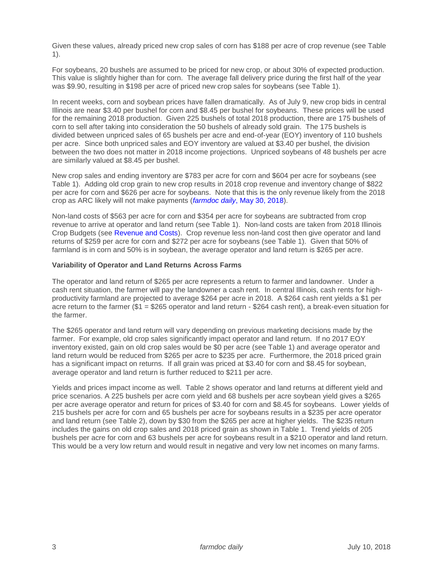Given these values, already priced new crop sales of corn has \$188 per acre of crop revenue (see Table 1).

For soybeans, 20 bushels are assumed to be priced for new crop, or about 30% of expected production. This value is slightly higher than for corn. The average fall delivery price during the first half of the year was \$9.90, resulting in \$198 per acre of priced new crop sales for soybeans (see Table 1).

In recent weeks, corn and soybean prices have fallen dramatically. As of July 9, new crop bids in central Illinois are near \$3.40 per bushel for corn and \$8.45 per bushel for soybeans. These prices will be used for the remaining 2018 production. Given 225 bushels of total 2018 production, there are 175 bushels of corn to sell after taking into consideration the 50 bushels of already sold grain. The 175 bushels is divided between unpriced sales of 65 bushels per acre and end-of-year (EOY) inventory of 110 bushels per acre. Since both unpriced sales and EOY inventory are valued at \$3.40 per bushel, the division between the two does not matter in 2018 income projections. Unpriced soybeans of 48 bushels per acre are similarly valued at \$8.45 per bushel.

New crop sales and ending inventory are \$783 per acre for corn and \$604 per acre for soybeans (see Table 1). Adding old crop grain to new crop results in 2018 crop revenue and inventory change of \$822 per acre for corn and \$626 per acre for soybeans. Note that this is the only revenue likely from the 2018 crop as ARC likely will not make payments (*farmdoc daily*[, May 30, 2018\)](https://farmdocdaily.illinois.edu/2018/05/revised-estimates-of-2017-arc-co-payments.html).

Non-land costs of \$563 per acre for corn and \$354 per acre for soybeans are subtracted from crop revenue to arrive at operator and land return (see Table 1). Non-land costs are taken from 2018 Illinois Crop Budgets (see [Revenue and Costs\)](http://www.farmdoc.illinois.edu/manage/actual_projected_costs.pdf). Crop revenue less non-land cost then give operator and land returns of \$259 per acre for corn and \$272 per acre for soybeans (see Table 1). Given that 50% of farmland is in corn and 50% is in soybean, the average operator and land return is \$265 per acre.

#### **Variability of Operator and Land Returns Across Farms**

The operator and land return of \$265 per acre represents a return to farmer and landowner. Under a cash rent situation, the farmer will pay the landowner a cash rent. In central Illinois, cash rents for highproductivity farmland are projected to average \$264 per acre in 2018. A \$264 cash rent yields a \$1 per acre return to the farmer (\$1 = \$265 operator and land return - \$264 cash rent), a break-even situation for the farmer.

The \$265 operator and land return will vary depending on previous marketing decisions made by the farmer. For example, old crop sales significantly impact operator and land return. If no 2017 EOY inventory existed, gain on old crop sales would be \$0 per acre (see Table 1) and average operator and land return would be reduced from \$265 per acre to \$235 per acre. Furthermore, the 2018 priced grain has a significant impact on returns. If all grain was priced at \$3.40 for corn and \$8.45 for soybean, average operator and land return is further reduced to \$211 per acre.

Yields and prices impact income as well. Table 2 shows operator and land returns at different yield and price scenarios. A 225 bushels per acre corn yield and 68 bushels per acre soybean yield gives a \$265 per acre average operator and return for prices of \$3.40 for corn and \$8.45 for soybeans. Lower yields of 215 bushels per acre for corn and 65 bushels per acre for soybeans results in a \$235 per acre operator and land return (see Table 2), down by \$30 from the \$265 per acre at higher yields. The \$235 return includes the gains on old crop sales and 2018 priced grain as shown in Table 1. Trend yields of 205 bushels per acre for corn and 63 bushels per acre for soybeans result in a \$210 operator and land return. This would be a very low return and would result in negative and very low net incomes on many farms.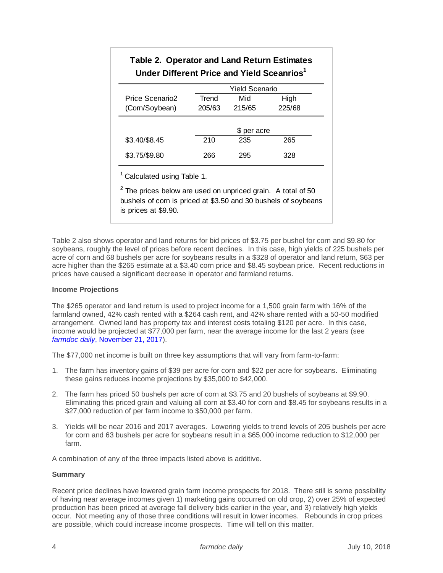| <b>Table 2. Operator and Land Return Estimates</b><br>Under Different Price and Yield Sceanrios <sup>1</sup> |                       |             |        |  |  |  |
|--------------------------------------------------------------------------------------------------------------|-----------------------|-------------|--------|--|--|--|
|                                                                                                              | <b>Yield Scenario</b> |             |        |  |  |  |
| Price Scenario2                                                                                              | Trend                 | Mid         | High   |  |  |  |
| (Corn/Soybean)                                                                                               | 205/63                | 215/65      | 225/68 |  |  |  |
|                                                                                                              |                       | \$ per acre |        |  |  |  |
| \$3.40/\$8.45                                                                                                | 210                   | 235         | 265    |  |  |  |
| \$3.75/\$9.80                                                                                                | 266                   | 295         | 328    |  |  |  |

<sup>1</sup> Calculated using Table 1.

 $2$  The prices below are used on unpriced grain. A total of 50 bushels of corn is priced at \$3.50 and 30 bushels of soybeans is prices at \$9.90.

Table 2 also shows operator and land returns for bid prices of \$3.75 per bushel for corn and \$9.80 for soybeans, roughly the level of prices before recent declines. In this case, high yields of 225 bushels per acre of corn and 68 bushels per acre for soybeans results in a \$328 of operator and land return, \$63 per acre higher than the \$265 estimate at a \$3.40 corn price and \$8.45 soybean price. Recent reductions in prices have caused a significant decrease in operator and farmland returns.

## **Income Projections**

The \$265 operator and land return is used to project income for a 1,500 grain farm with 16% of the farmland owned, 42% cash rented with a \$264 cash rent, and 42% share rented with a 50-50 modified arrangement. Owned land has property tax and interest costs totaling \$120 per acre. In this case, income would be projected at \$77,000 per farm, near the average income for the last 2 years (see *farmdoc daily*[, November 21, 2017\)](https://farmdocdaily.illinois.edu/2017/11/forecast-of-2017-net-income-on-grain-farm-illinois.html).

The \$77,000 net income is built on three key assumptions that will vary from farm-to-farm:

- 1. The farm has inventory gains of \$39 per acre for corn and \$22 per acre for soybeans. Eliminating these gains reduces income projections by \$35,000 to \$42,000.
- 2. The farm has priced 50 bushels per acre of corn at \$3.75 and 20 bushels of soybeans at \$9.90. Eliminating this priced grain and valuing all corn at \$3.40 for corn and \$8.45 for soybeans results in a \$27,000 reduction of per farm income to \$50,000 per farm.
- 3. Yields will be near 2016 and 2017 averages. Lowering yields to trend levels of 205 bushels per acre for corn and 63 bushels per acre for soybeans result in a \$65,000 income reduction to \$12,000 per farm.

A combination of any of the three impacts listed above is additive.

# **Summary**

Recent price declines have lowered grain farm income prospects for 2018. There still is some possibility of having near average incomes given 1) marketing gains occurred on old crop, 2) over 25% of expected production has been priced at average fall delivery bids earlier in the year, and 3) relatively high yields occur. Not meeting any of those three conditions will result in lower incomes. Rebounds in crop prices are possible, which could increase income prospects. Time will tell on this matter.